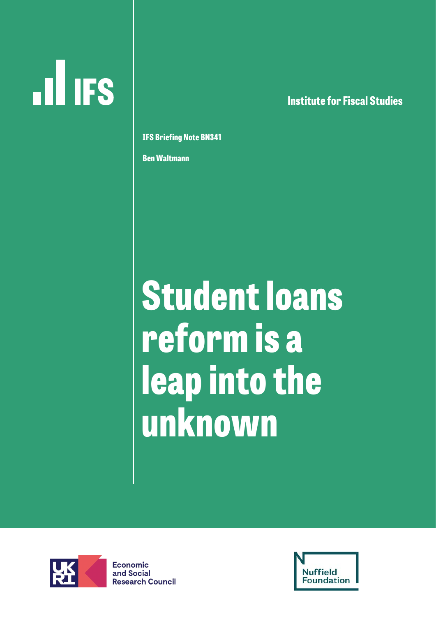# **ILL IFS**

**lnstitute for Fiscal Studies**

**IFS Briefing Note BN34**1

Ben Waltmann

Student loans reform is a leap into the unknown



**Economic** and Social **Research Council** 

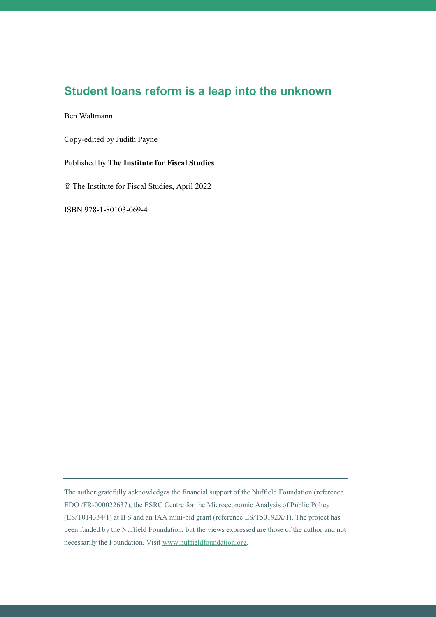### **Student loans reform is a leap into the unknown**

#### Ben Waltmann

Copy-edited by Judith Payne

#### Published by **The Institute for Fiscal Studies**

The Institute for Fiscal Studies, April 2022

ISBN 978-1-80103-069-4

The author gratefully acknowledges the financial support of the Nuffield Foundation (reference EDO /FR-000022637), the ESRC Centre for the Microeconomic Analysis of Public Policy (ES/T014334/1) at IFS and an IAA mini-bid grant (reference ES/T50192X/1). The project has been funded by the Nuffield Foundation, but the views expressed are those of the author and not necessarily the Foundation. Visit [www.nuffieldfoundation.org.](http://www.nuffieldfoundation.org/)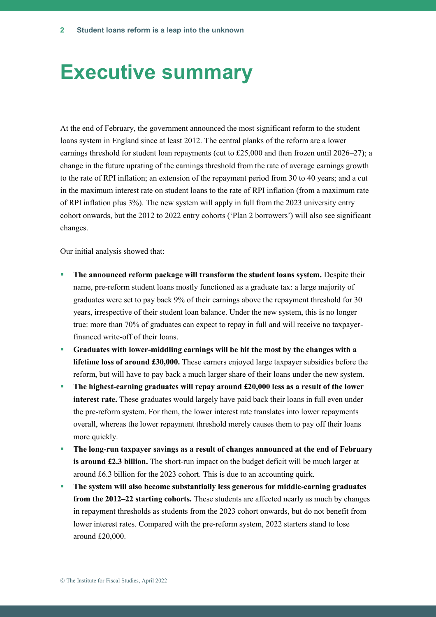### **Executive summary**

At the end of February, the government announced the most significant reform to the student loans system in England since at least 2012. The central planks of the reform are a lower earnings threshold for student loan repayments (cut to £25,000 and then frozen until 2026–27); a change in the future uprating of the earnings threshold from the rate of average earnings growth to the rate of RPI inflation; an extension of the repayment period from 30 to 40 years; and a cut in the maximum interest rate on student loans to the rate of RPI inflation (from a maximum rate of RPI inflation plus 3%). The new system will apply in full from the 2023 university entry cohort onwards, but the 2012 to 2022 entry cohorts ('Plan 2 borrowers') will also see significant changes.

Our initial analysis showed that:

- **The announced reform package will transform the student loans system.** Despite their name, pre-reform student loans mostly functioned as a graduate tax: a large majority of graduates were set to pay back 9% of their earnings above the repayment threshold for 30 years, irrespective of their student loan balance. Under the new system, this is no longer true: more than 70% of graduates can expect to repay in full and will receive no taxpayerfinanced write-off of their loans.
- **Graduates with lower-middling earnings will be hit the most by the changes with a lifetime loss of around £30,000.** These earners enjoyed large taxpayer subsidies before the reform, but will have to pay back a much larger share of their loans under the new system.
- The highest-earning graduates will repay around £20,000 less as a result of the lower **interest rate.** These graduates would largely have paid back their loans in full even under the pre-reform system. For them, the lower interest rate translates into lower repayments overall, whereas the lower repayment threshold merely causes them to pay off their loans more quickly.
- **The long-run taxpayer savings as a result of changes announced at the end of February is around £2.3 billion.** The short-run impact on the budget deficit will be much larger at around £6.3 billion for the 2023 cohort. This is due to an accounting quirk.
- **The system will also become substantially less generous for middle-earning graduates from the 2012–22 starting cohorts.** These students are affected nearly as much by changes in repayment thresholds as students from the 2023 cohort onwards, but do not benefit from lower interest rates. Compared with the pre-reform system, 2022 starters stand to lose around £20,000.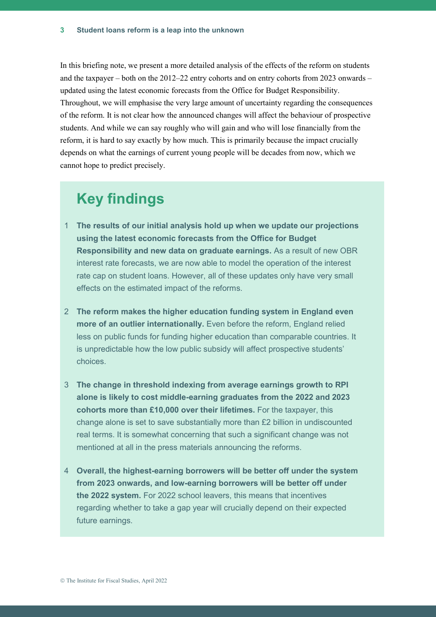In this briefing note, we present a more detailed analysis of the effects of the reform on students and the taxpayer – both on the 2012–22 entry cohorts and on entry cohorts from 2023 onwards – updated using the latest economic forecasts from the Office for Budget Responsibility. Throughout, we will emphasise the very large amount of uncertainty regarding the consequences of the reform. It is not clear how the announced changes will affect the behaviour of prospective students. And while we can say roughly who will gain and who will lose financially from the reform, it is hard to say exactly by how much. This is primarily because the impact crucially depends on what the earnings of current young people will be decades from now, which we cannot hope to predict precisely.

### **Key findings**

- 1 **The results of our initial analysis hold up when we update our projections using the latest economic forecasts from the Office for Budget Responsibility and new data on graduate earnings.** As a result of new OBR interest rate forecasts, we are now able to model the operation of the interest rate cap on student loans. However, all of these updates only have very small effects on the estimated impact of the reforms.
- 2 **The reform makes the higher education funding system in England even more of an outlier internationally.** Even before the reform, England relied less on public funds for funding higher education than comparable countries. It is unpredictable how the low public subsidy will affect prospective students' choices.
- 3 **The change in threshold indexing from average earnings growth to RPI alone is likely to cost middle-earning graduates from the 2022 and 2023 cohorts more than £10,000 over their lifetimes.** For the taxpayer, this change alone is set to save substantially more than £2 billion in undiscounted real terms. It is somewhat concerning that such a significant change was not mentioned at all in the press materials announcing the reforms.
- 4 **Overall, the highest-earning borrowers will be better off under the system from 2023 onwards, and low-earning borrowers will be better off under the 2022 system.** For 2022 school leavers, this means that incentives regarding whether to take a gap year will crucially depend on their expected future earnings.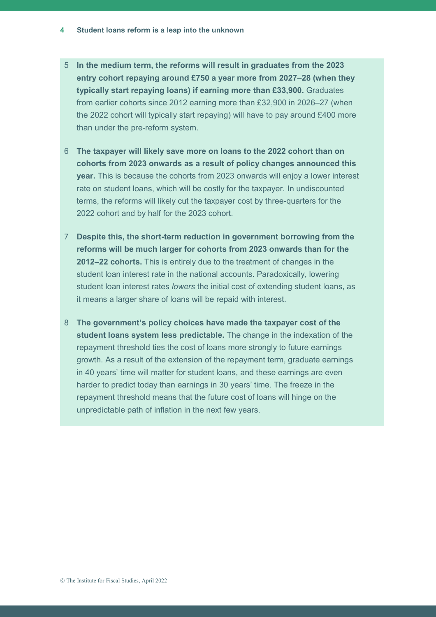- 5 **In the medium term, the reforms will result in graduates from the 2023 entry cohort repaying around £750 a year more from 2027**–**28 (when they typically start repaying loans) if earning more than £33,900.** Graduates from earlier cohorts since 2012 earning more than £32,900 in 2026–27 (when the 2022 cohort will typically start repaying) will have to pay around £400 more than under the pre-reform system.
- 6 **The taxpayer will likely save more on loans to the 2022 cohort than on cohorts from 2023 onwards as a result of policy changes announced this year.** This is because the cohorts from 2023 onwards will enjoy a lower interest rate on student loans, which will be costly for the taxpayer. In undiscounted terms, the reforms will likely cut the taxpayer cost by three-quarters for the 2022 cohort and by half for the 2023 cohort.
- 7 **Despite this, the short-term reduction in government borrowing from the reforms will be much larger for cohorts from 2023 onwards than for the 2012–22 cohorts.** This is entirely due to the treatment of changes in the student loan interest rate in the national accounts. Paradoxically, lowering student loan interest rates *lowers* the initial cost of extending student loans, as it means a larger share of loans will be repaid with interest.
- 8 **The government's policy choices have made the taxpayer cost of the student loans system less predictable.** The change in the indexation of the repayment threshold ties the cost of loans more strongly to future earnings growth. As a result of the extension of the repayment term, graduate earnings in 40 years' time will matter for student loans, and these earnings are even harder to predict today than earnings in 30 years' time. The freeze in the repayment threshold means that the future cost of loans will hinge on the unpredictable path of inflation in the next few years.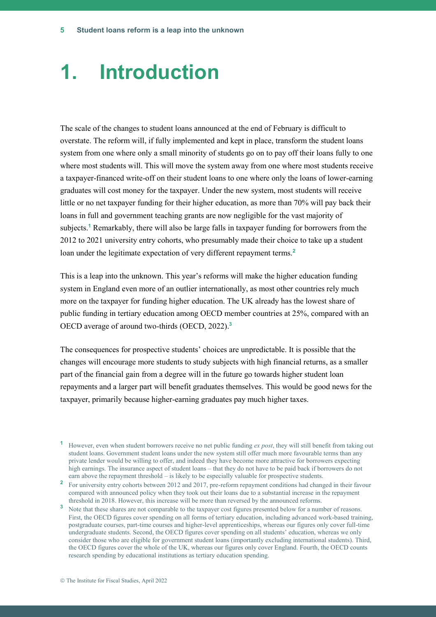### **1. Introduction**

The scale of the changes to student loans announced at the end of February is difficult to overstate. The reform will, if fully implemented and kept in place, transform the student loans system from one where only a small minority of students go on to pay off their loans fully to one where most students will. This will move the system away from one where most students receive a taxpayer-financed write-off on their student loans to one where only the loans of lower-earning graduates will cost money for the taxpayer. Under the new system, most students will receive little or no net taxpayer funding for their higher education, as more than 70% will pay back their loans in full and government teaching grants are now negligible for the vast majority of subjects.**<sup>1</sup>** Remarkably, there will also be large falls in taxpayer funding for borrowers from the 2012 to 2021 university entry cohorts, who presumably made their choice to take up a student loan under the legitimate expectation of very different repayment terms.**<sup>2</sup>**

This is a leap into the unknown. This year's reforms will make the higher education funding system in England even more of an outlier internationally, as most other countries rely much more on the taxpayer for funding higher education. The UK already has the lowest share of public funding in tertiary education among OECD member countries at 25%, compared with an OECD average of around two-thirds (OECD, 2022). **3**

The consequences for prospective students' choices are unpredictable. It is possible that the changes will encourage more students to study subjects with high financial returns, as a smaller part of the financial gain from a degree will in the future go towards higher student loan repayments and a larger part will benefit graduates themselves. This would be good news for the taxpayer, primarily because higher-earning graduates pay much higher taxes.

**<sup>1</sup>** However, even when student borrowers receive no net public funding *ex post*, they will still benefit from taking out student loans. Government student loans under the new system still offer much more favourable terms than any private lender would be willing to offer, and indeed they have become more attractive for borrowers expecting high earnings. The insurance aspect of student loans – that they do not have to be paid back if borrowers do not earn above the repayment threshold – is likely to be especially valuable for prospective students.

<sup>&</sup>lt;sup>2</sup> For university entry cohorts between 2012 and 2017, pre-reform repayment conditions had changed in their favour compared with announced policy when they took out their loans due to a substantial increase in the repayment threshold in 2018. However, this increase will be more than reversed by the announced reforms.

**<sup>3</sup>** Note that these shares are not comparable to the taxpayer cost figures presented below for a number of reasons. First, the OECD figures cover spending on all forms of tertiary education, including advanced work-based training, postgraduate courses, part-time courses and higher-level apprenticeships, whereas our figures only cover full-time undergraduate students. Second, the OECD figures cover spending on all students' education, whereas we only consider those who are eligible for government student loans (importantly excluding international students). Third, the OECD figures cover the whole of the UK, whereas our figures only cover England. Fourth, the OECD counts research spending by educational institutions as tertiary education spending.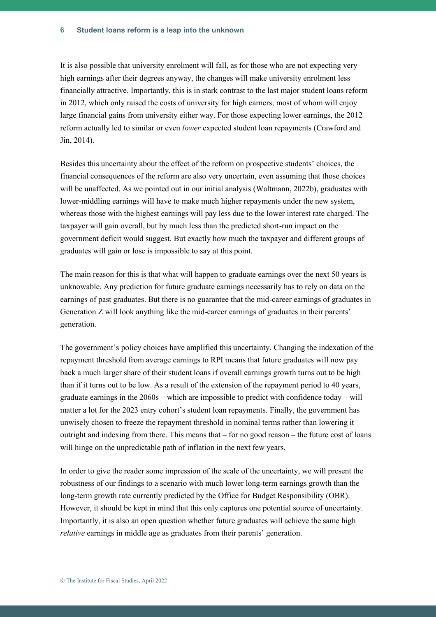#### **Student loans reform is a leap into the unknown 6**

It is also possible that university enrolment will fall, as for those who are not expecting very high earnings after their degrees anyway, the changes will make university enrolment less financially attractive. Importantly, this is in stark contrast to the last major student loans reform in 2012, which only raised the costs of university for high earners, most of whom will enjoy large financial gains from university either way. For those expecting lower earnings, the 2012 reform actually led to similar or even *lower* expected student loan repayments (Crawford and Jin, 2014).

Besides this uncertainty about the effect of the reform on prospective students' choices, the financial consequences of the reform are also very uncertain, even assuming that those choices will be unaffected. As we pointed out in our initial analysis (Waltmann, 2022b), graduates with lower-middling earnings will have to make much higher repayments under the new system, whereas those with the highest earnings will pay less due to the lower interest rate charged. The taxpayer will gain overall, but by much less than the predicted short-run impact on the government deficit would suggest. But exactly how much the taxpayer and different groups of graduates will gain or lose is impossible to say at this point.

The main reason for this is that what will happen to graduate earnings over the next 50 years is unknowable. Any prediction for future graduate earnings necessarily has to rely on data on the earnings of past graduates. But there is no guarantee that the mid-career earnings of graduates in Generation Z will look anything like the mid-career earnings of graduates in their parents' generation.

The government's policy choices have amplified this uncertainty. Changing the indexation of the repayment threshold from average earnings to RPI means that future graduates will now pay back a much larger share of their student loans if overall earnings growth turns out to be high than if it turns out to be low. As a result of the extension of the repayment period to 40 years, graduate earnings in the  $2060s$  – which are impossible to predict with confidence today – will matter a lot for the 2023 entry cohort's student loan repayments. Finally, the government has unwisely chosen to freeze the repayment threshold in nominal terms rather than lowering it outright and indexing from there. This means that  $-$  for no good reason  $-$  the future cost of loans will hinge on the unpredictable path of inflation in the next few years.

In order to give the reader some impression of the scale of the uncertainty, we will present the robustness of our findings to a scenario with much lower long-term earnings growth than the long-term growth rate currently predicted by the Office for Budget Responsibility (OBR). However, it should be kept in mind that this only captures one potential source of uncertainty. Importantly, it is also an open question whether future graduates will achieve the same high *relative* earnings in middle age as graduates from their parents' generation.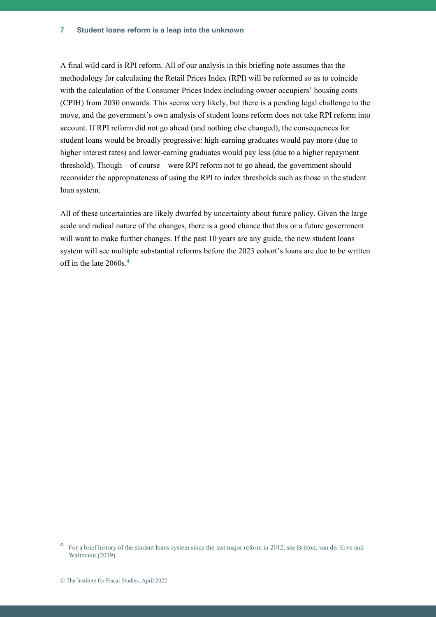A final wild card is RPI reform. All of our analysis in this briefing note assumes that the methodology for calculating the Retail Prices Index (RPI) will be reformed so as to coincide with the calculation of the Consumer Prices Index including owner occupiers' housing costs (CPIH) from 2030 onwards. This seems very likely, but there is a pending legal challenge to the move, and the government's own analysis of student loans reform does not take RPI reform into account. If RPI reform did not go ahead (and nothing else changed), the consequences for student loans would be broadly progressive: high-earning graduates would pay more (due to higher interest rates) and lower-earning graduates would pay less (due to a higher repayment threshold). Though – of course – were RPI reform not to go ahead, the government should reconsider the appropriateness of using the RPI to index thresholds such as those in the student loan system.

All of these uncertainties are likely dwarfed by uncertainty about future policy. Given the large scale and radical nature of the changes, there is a good chance that this or a future government will want to make further changes. If the past 10 years are any guide, the new student loans system will see multiple substantial reforms before the 2023 cohort's loans are due to be written off in the late 2060s.**<sup>4</sup>**

<sup>&</sup>lt;sup>4</sup> For a brief history of the student loans system since the last major reform in 2012, see Britton, van der Erve and Waltmann (2019).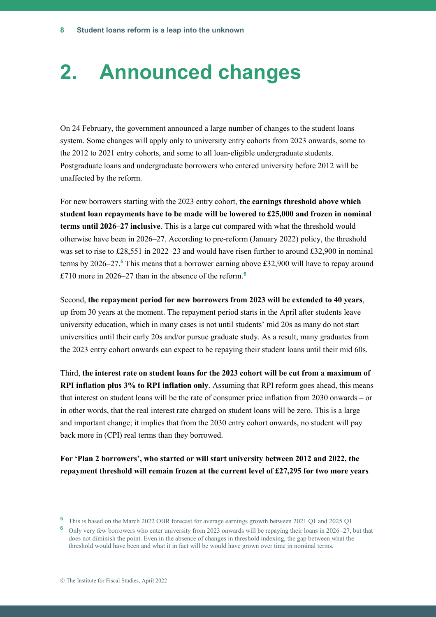### **2. Announced changes**

On 24 February, the government announced a large number of changes to the student loans system. Some changes will apply only to university entry cohorts from 2023 onwards, some to the 2012 to 2021 entry cohorts, and some to all loan-eligible undergraduate students. Postgraduate loans and undergraduate borrowers who entered university before 2012 will be unaffected by the reform.

For new borrowers starting with the 2023 entry cohort, **the earnings threshold above which student loan repayments have to be made will be lowered to £25,000 and frozen in nominal terms until 2026–27 inclusive**. This is a large cut compared with what the threshold would otherwise have been in 2026–27. According to pre-reform (January 2022) policy, the threshold was set to rise to £28,551 in 2022–23 and would have risen further to around £32,900 in nominal terms by 2026–27. **<sup>5</sup>** This means that a borrower earning above £32,900 will have to repay around £710 more in 2026–27 than in the absence of the reform.**<sup>6</sup>**

Second, **the repayment period for new borrowers from 2023 will be extended to 40 years**, up from 30 years at the moment. The repayment period starts in the April after students leave university education, which in many cases is not until students' mid 20s as many do not start universities until their early 20s and/or pursue graduate study. As a result, many graduates from the 2023 entry cohort onwards can expect to be repaying their student loans until their mid 60s.

Third, **the interest rate on student loans for the 2023 cohort will be cut from a maximum of RPI inflation plus 3% to RPI inflation only**. Assuming that RPI reform goes ahead, this means that interest on student loans will be the rate of consumer price inflation from 2030 onwards – or in other words, that the real interest rate charged on student loans will be zero. This is a large and important change; it implies that from the 2030 entry cohort onwards, no student will pay back more in (CPI) real terms than they borrowed.

**For 'Plan 2 borrowers', who started or will start university between 2012 and 2022, the repayment threshold will remain frozen at the current level of £27,295 for two more years** 

**<sup>6</sup>** Only very few borrowers who enter university from 2023 onwards will be repaying their loans in 2026–27, but that does not diminish the point. Even in the absence of changes in threshold indexing, the gap between what the threshold would have been and what it in fact will be would have grown over time in nominal terms.

**<sup>5</sup>** This is based on the March 2022 OBR forecast for average earnings growth between 2021 Q1 and 2025 Q1.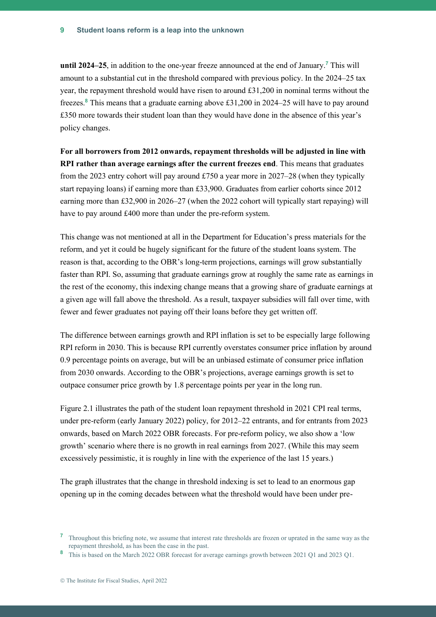**until 2024–25**, in addition to the one-year freeze announced at the end of January.**<sup>7</sup>** This will amount to a substantial cut in the threshold compared with previous policy. In the 2024–25 tax year, the repayment threshold would have risen to around £31,200 in nominal terms without the freezes.**<sup>8</sup>** This means that a graduate earning above £31,200 in 2024–25 will have to pay around £350 more towards their student loan than they would have done in the absence of this year's policy changes.

**For all borrowers from 2012 onwards, repayment thresholds will be adjusted in line with RPI rather than average earnings after the current freezes end**. This means that graduates from the 2023 entry cohort will pay around £750 a year more in 2027–28 (when they typically start repaying loans) if earning more than £33,900. Graduates from earlier cohorts since 2012 earning more than £32,900 in 2026–27 (when the 2022 cohort will typically start repaying) will have to pay around £400 more than under the pre-reform system.

This change was not mentioned at all in the Department for Education's press materials for the reform, and yet it could be hugely significant for the future of the student loans system. The reason is that, according to the OBR's long-term projections, earnings will grow substantially faster than RPI. So, assuming that graduate earnings grow at roughly the same rate as earnings in the rest of the economy, this indexing change means that a growing share of graduate earnings at a given age will fall above the threshold. As a result, taxpayer subsidies will fall over time, with fewer and fewer graduates not paying off their loans before they get written off.

The difference between earnings growth and RPI inflation is set to be especially large following RPI reform in 2030. This is because RPI currently overstates consumer price inflation by around 0.9 percentage points on average, but will be an unbiased estimate of consumer price inflation from 2030 onwards. According to the OBR's projections, average earnings growth is set to outpace consumer price growth by 1.8 percentage points per year in the long run.

Figure 2.1 illustrates the path of the student loan repayment threshold in 2021 CPI real terms, under pre-reform (early January 2022) policy, for 2012–22 entrants, and for entrants from 2023 onwards, based on March 2022 OBR forecasts. For pre-reform policy, we also show a 'low growth' scenario where there is no growth in real earnings from 2027. (While this may seem excessively pessimistic, it is roughly in line with the experience of the last 15 years.)

The graph illustrates that the change in threshold indexing is set to lead to an enormous gap opening up in the coming decades between what the threshold would have been under pre-

**<sup>7</sup>** Throughout this briefing note, we assume that interest rate thresholds are frozen or uprated in the same way as the repayment threshold, as has been the case in the past.

**<sup>8</sup>** This is based on the March 2022 OBR forecast for average earnings growth between 2021 Q1 and 2023 Q1.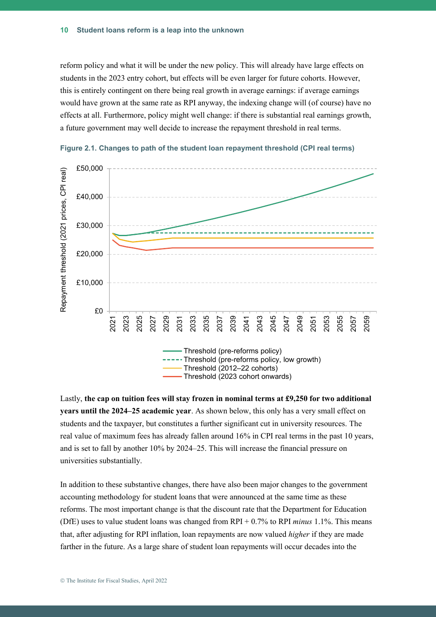reform policy and what it will be under the new policy. This will already have large effects on students in the 2023 entry cohort, but effects will be even larger for future cohorts. However, this is entirely contingent on there being real growth in average earnings: if average earnings would have grown at the same rate as RPI anyway, the indexing change will (of course) have no effects at all. Furthermore, policy might well change: if there is substantial real earnings growth, a future government may well decide to increase the repayment threshold in real terms.



**Figure 2.1. Changes to path of the student loan repayment threshold (CPI real terms)**

Lastly, **the cap on tuition fees will stay frozen in nominal terms at £9,250 for two additional years until the 2024–25 academic year**. As shown below, this only has a very small effect on students and the taxpayer, but constitutes a further significant cut in university resources. The real value of maximum fees has already fallen around 16% in CPI real terms in the past 10 years, and is set to fall by another 10% by 2024–25. This will increase the financial pressure on universities substantially.

In addition to these substantive changes, there have also been major changes to the government accounting methodology for student loans that were announced at the same time as these reforms. The most important change is that the discount rate that the Department for Education (DfE) uses to value student loans was changed from RPI + 0.7% to RPI *minus* 1.1%. This means that, after adjusting for RPI inflation, loan repayments are now valued *higher* if they are made farther in the future. As a large share of student loan repayments will occur decades into the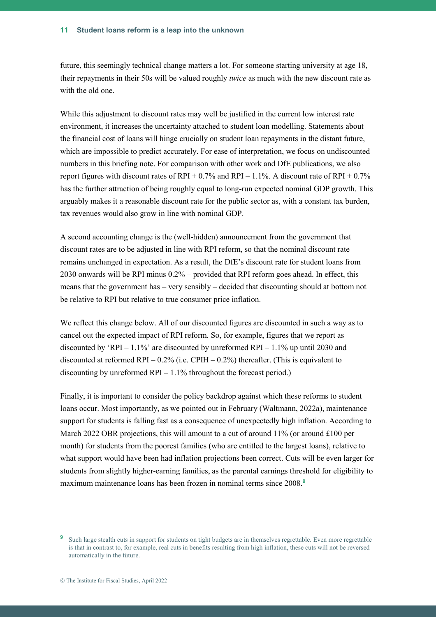future, this seemingly technical change matters a lot. For someone starting university at age 18, their repayments in their 50s will be valued roughly *twice* as much with the new discount rate as with the old one.

While this adjustment to discount rates may well be justified in the current low interest rate environment, it increases the uncertainty attached to student loan modelling. Statements about the financial cost of loans will hinge crucially on student loan repayments in the distant future, which are impossible to predict accurately. For ease of interpretation, we focus on undiscounted numbers in this briefing note. For comparison with other work and DfE publications, we also report figures with discount rates of RPI +  $0.7\%$  and RPI –  $1.1\%$ . A discount rate of RPI +  $0.7\%$ has the further attraction of being roughly equal to long-run expected nominal GDP growth. This arguably makes it a reasonable discount rate for the public sector as, with a constant tax burden, tax revenues would also grow in line with nominal GDP.

A second accounting change is the (well-hidden) announcement from the government that discount rates are to be adjusted in line with RPI reform, so that the nominal discount rate remains unchanged in expectation. As a result, the DfE's discount rate for student loans from 2030 onwards will be RPI minus 0.2% – provided that RPI reform goes ahead. In effect, this means that the government has – very sensibly – decided that discounting should at bottom not be relative to RPI but relative to true consumer price inflation.

We reflect this change below. All of our discounted figures are discounted in such a way as to cancel out the expected impact of RPI reform. So, for example, figures that we report as discounted by 'RPI –  $1.1\%$ ' are discounted by unreformed RPI –  $1.1\%$  up until 2030 and discounted at reformed  $RPI - 0.2\%$  (i.e. CPIH – 0.2%) thereafter. (This is equivalent to discounting by unreformed  $RPI - 1.1\%$  throughout the forecast period.)

Finally, it is important to consider the policy backdrop against which these reforms to student loans occur. Most importantly, as we pointed out in February (Waltmann, 2022a), maintenance support for students is falling fast as a consequence of unexpectedly high inflation. According to March 2022 OBR projections, this will amount to a cut of around  $11\%$  (or around £100 per month) for students from the poorest families (who are entitled to the largest loans), relative to what support would have been had inflation projections been correct. Cuts will be even larger for students from slightly higher-earning families, as the parental earnings threshold for eligibility to maximum maintenance loans has been frozen in nominal terms since 2008.**<sup>9</sup>**

<sup>&</sup>lt;sup>9</sup> Such large stealth cuts in support for students on tight budgets are in themselves regrettable. Even more regrettable is that in contrast to, for example, real cuts in benefits resulting from high inflation, these cuts will not be reversed automatically in the future.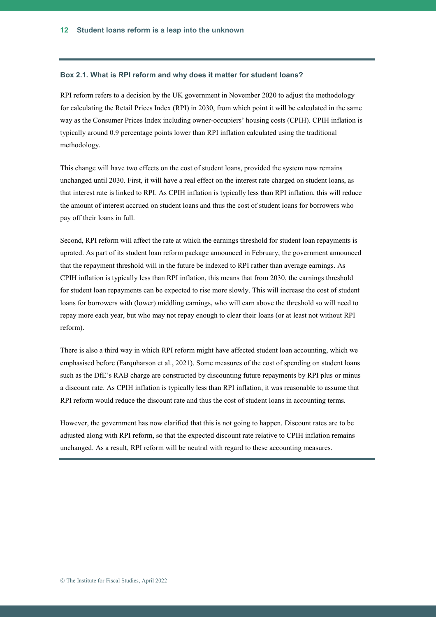#### **Box 2.1. What is RPI reform and why does it matter for student loans?**

RPI reform refers to a decision by the UK government in November 2020 to adjust the methodology for calculating the Retail Prices Index (RPI) in 2030, from which point it will be calculated in the same way as the Consumer Prices Index including owner-occupiers' housing costs (CPIH). CPIH inflation is typically around 0.9 percentage points lower than RPI inflation calculated using the traditional methodology.

This change will have two effects on the cost of student loans, provided the system now remains unchanged until 2030. First, it will have a real effect on the interest rate charged on student loans, as that interest rate is linked to RPI. As CPIH inflation is typically less than RPI inflation, this will reduce the amount of interest accrued on student loans and thus the cost of student loans for borrowers who pay off their loans in full.

Second, RPI reform will affect the rate at which the earnings threshold for student loan repayments is uprated. As part of its student loan reform package announced in February, the government announced that the repayment threshold will in the future be indexed to RPI rather than average earnings. As CPIH inflation is typically less than RPI inflation, this means that from 2030, the earnings threshold for student loan repayments can be expected to rise more slowly. This will increase the cost of student loans for borrowers with (lower) middling earnings, who will earn above the threshold so will need to repay more each year, but who may not repay enough to clear their loans (or at least not without RPI reform).

There is also a third way in which RPI reform might have affected student loan accounting, which we emphasised before (Farquharson et al., 2021). Some measures of the cost of spending on student loans such as the DfE's RAB charge are constructed by discounting future repayments by RPI plus or minus a discount rate. As CPIH inflation is typically less than RPI inflation, it was reasonable to assume that RPI reform would reduce the discount rate and thus the cost of student loans in accounting terms.

However, the government has now clarified that this is not going to happen. Discount rates are to be adjusted along with RPI reform, so that the expected discount rate relative to CPIH inflation remains unchanged. As a result, RPI reform will be neutral with regard to these accounting measures.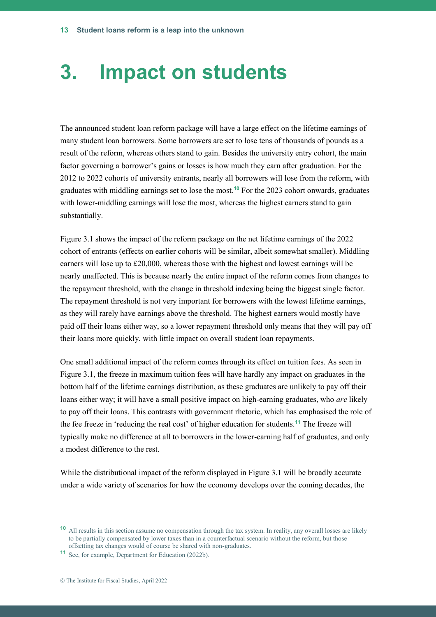### **3. Impact on students**

The announced student loan reform package will have a large effect on the lifetime earnings of many student loan borrowers. Some borrowers are set to lose tens of thousands of pounds as a result of the reform, whereas others stand to gain. Besides the university entry cohort, the main factor governing a borrower's gains or losses is how much they earn after graduation. For the 2012 to 2022 cohorts of university entrants, nearly all borrowers will lose from the reform, with graduates with middling earnings set to lose the most.**<sup>10</sup>** For the 2023 cohort onwards, graduates with lower-middling earnings will lose the most, whereas the highest earners stand to gain substantially.

Figure 3.1 shows the impact of the reform package on the net lifetime earnings of the 2022 cohort of entrants (effects on earlier cohorts will be similar, albeit somewhat smaller). Middling earners will lose up to £20,000, whereas those with the highest and lowest earnings will be nearly unaffected. This is because nearly the entire impact of the reform comes from changes to the repayment threshold, with the change in threshold indexing being the biggest single factor. The repayment threshold is not very important for borrowers with the lowest lifetime earnings, as they will rarely have earnings above the threshold. The highest earners would mostly have paid off their loans either way, so a lower repayment threshold only means that they will pay off their loans more quickly, with little impact on overall student loan repayments.

One small additional impact of the reform comes through its effect on tuition fees. As seen in Figure 3.1, the freeze in maximum tuition fees will have hardly any impact on graduates in the bottom half of the lifetime earnings distribution, as these graduates are unlikely to pay off their loans either way; it will have a small positive impact on high-earning graduates, who *are* likely to pay off their loans. This contrasts with government rhetoric, which has emphasised the role of the fee freeze in 'reducing the real cost' of higher education for students.**<sup>11</sup>** The freeze will typically make no difference at all to borrowers in the lower-earning half of graduates, and only a modest difference to the rest.

While the distributional impact of the reform displayed in Figure 3.1 will be broadly accurate under a wide variety of scenarios for how the economy develops over the coming decades, the

**<sup>10</sup>** All results in this section assume no compensation through the tax system. In reality, any overall losses are likely to be partially compensated by lower taxes than in a counterfactual scenario without the reform, but those offsetting tax changes would of course be shared with non-graduates.

**<sup>11</sup>** See, for example, Department for Education (2022b).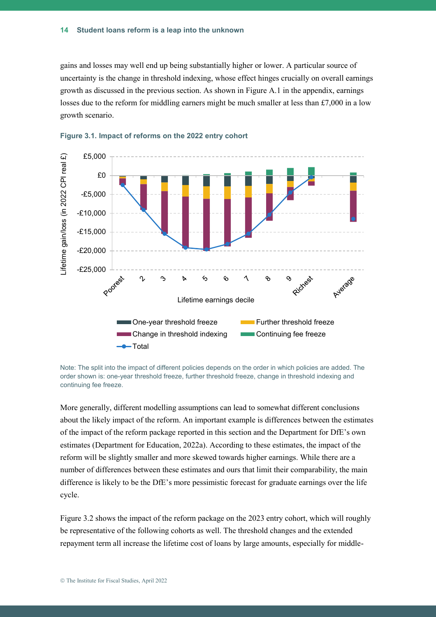gains and losses may well end up being substantially higher or lower. A particular source of uncertainty is the change in threshold indexing, whose effect hinges crucially on overall earnings growth as discussed in the previous section. As shown in Figure A.1 in the appendix, earnings losses due to the reform for middling earners might be much smaller at less than £7,000 in a low growth scenario.





Note: The split into the impact of different policies depends on the order in which policies are added. The order shown is: one-year threshold freeze, further threshold freeze, change in threshold indexing and continuing fee freeze.

More generally, different modelling assumptions can lead to somewhat different conclusions about the likely impact of the reform. An important example is differences between the estimates of the impact of the reform package reported in this section and the Department for DfE's own estimates (Department for Education, 2022a). According to these estimates, the impact of the reform will be slightly smaller and more skewed towards higher earnings. While there are a number of differences between these estimates and ours that limit their comparability, the main difference is likely to be the DfE's more pessimistic forecast for graduate earnings over the life cycle.

Figure 3.2 shows the impact of the reform package on the 2023 entry cohort, which will roughly be representative of the following cohorts as well. The threshold changes and the extended repayment term all increase the lifetime cost of loans by large amounts, especially for middle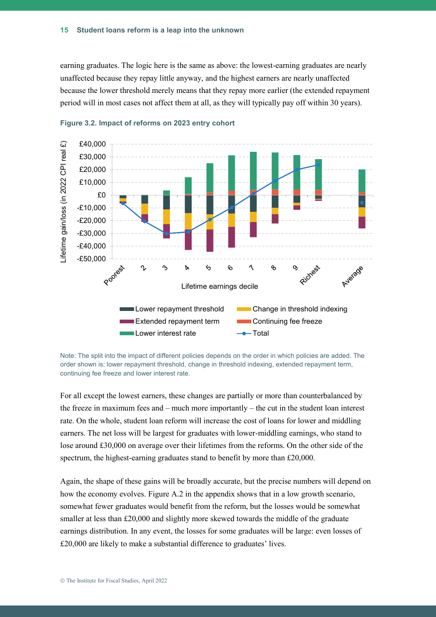earning graduates. The logic here is the same as above: the lowest-earning graduates are nearly unaffected because they repay little anyway, and the highest earners are nearly unaffected because the lower threshold merely means that they repay more earlier (the extended repayment period will in most cases not affect them at all, as they will typically pay off within 30 years).



#### **Figure 3.2. Impact of reforms on 2023 entry cohort**

Note: The split into the impact of different policies depends on the order in which policies are added. The order shown is: lower repayment threshold, change in threshold indexing, extended repayment term, continuing fee freeze and lower interest rate.

For all except the lowest earners, these changes are partially or more than counterbalanced by the freeze in maximum fees and – much more importantly – the cut in the student loan interest rate. On the whole, student loan reform will increase the cost of loans for lower and middling earners. The net loss will be largest for graduates with lower-middling earnings, who stand to lose around £30,000 on average over their lifetimes from the reforms. On the other side of the spectrum, the highest-earning graduates stand to benefit by more than £20,000.

Again, the shape of these gains will be broadly accurate, but the precise numbers will depend on how the economy evolves. Figure A.2 in the appendix shows that in a low growth scenario, somewhat fewer graduates would benefit from the reform, but the losses would be somewhat smaller at less than £20,000 and slightly more skewed towards the middle of the graduate earnings distribution. In any event, the losses for some graduates will be large: even losses of £20,000 are likely to make a substantial difference to graduates' lives.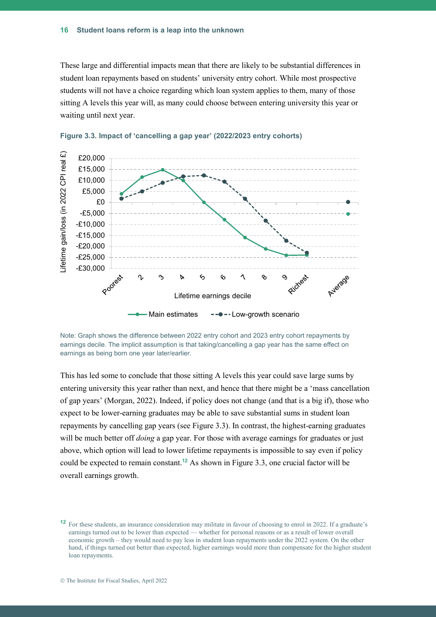These large and differential impacts mean that there are likely to be substantial differences in student loan repayments based on students' university entry cohort. While most prospective students will not have a choice regarding which loan system applies to them, many of those sitting A levels this year will, as many could choose between entering university this year or waiting until next year.





This has led some to conclude that those sitting A levels this year could save large sums by entering university this year rather than next, and hence that there might be a 'mass cancellation of gap years' (Morgan, 2022). Indeed, if policy does not change (and that is a big if), those who expect to be lower-earning graduates may be able to save substantial sums in student loan repayments by cancelling gap years (see Figure 3.3). In contrast, the highest-earning graduates will be much better off *doing* a gap year. For those with average earnings for graduates or just above, which option will lead to lower lifetime repayments is impossible to say even if policy could be expected to remain constant. **<sup>12</sup>** As shown in Figure 3.3, one crucial factor will be overall earnings growth.

Note: Graph shows the difference between 2022 entry cohort and 2023 entry cohort repayments by earnings decile. The implicit assumption is that taking/cancelling a gap year has the same effect on earnings as being born one year later/earlier.

**<sup>12</sup>** For these students, an insurance consideration may militate in favour of choosing to enrol in 2022. If a graduate's earnings turned out to be lower than expected — whether for personal reasons or as a result of lower overall economic growth – they would need to pay less in student loan repayments under the 2022 system. On the other hand, if things turned out better than expected, higher earnings would more than compensate for the higher student loan repayments.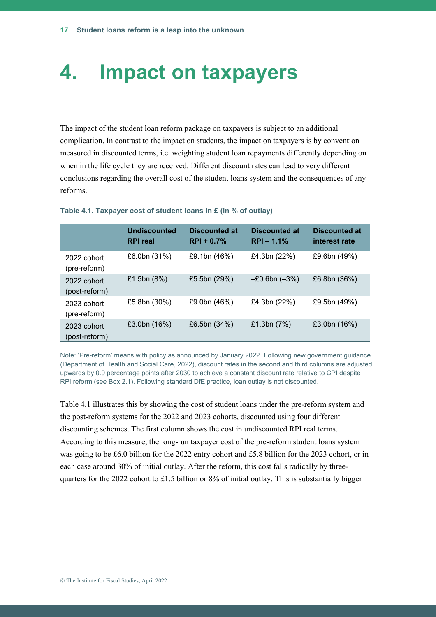### **4. Impact on taxpayers**

The impact of the student loan reform package on taxpayers is subject to an additional complication. In contrast to the impact on students, the impact on taxpayers is by convention measured in discounted terms, i.e. weighting student loan repayments differently depending on when in the life cycle they are received. Different discount rates can lead to very different conclusions regarding the overall cost of the student loans system and the consequences of any reforms.

|                              | <b>Undiscounted</b><br><b>RPI</b> real | <b>Discounted at</b><br>$RPI + 0.7%$ | <b>Discounted at</b><br>$RPI - 1.1%$ | <b>Discounted at</b><br>interest rate |
|------------------------------|----------------------------------------|--------------------------------------|--------------------------------------|---------------------------------------|
| 2022 cohort<br>(pre-reform)  | £6.0bn (31%)                           | £9.1bn (46%)                         | £4.3bn (22%)                         | £9.6bn (49%)                          |
| 2022 cohort<br>(post-reform) | £1.5bn $(8%)$                          | £5.5bn (29%)                         | $-E0.6bn (-3%)$                      | £6.8bn (36%)                          |
| 2023 cohort<br>(pre-reform)  | £5.8bn (30%)                           | £9.0bn (46%)                         | £4.3bn (22%)                         | £9.5bn (49%)                          |
| 2023 cohort<br>(post-reform) | £3.0bn $(16%)$                         | £6.5bn $(34%)$                       | £1.3bn $(7%)$                        | £3.0bn (16%)                          |

#### **Table 4.1. Taxpayer cost of student loans in £ (in % of outlay)**

Note: 'Pre-reform' means with policy as announced by January 2022. Following new government guidance (Department of Health and Social Care, 2022), discount rates in the second and third columns are adjusted upwards by 0.9 percentage points after 2030 to achieve a constant discount rate relative to CPI despite RPI reform (see Box 2.1). Following standard DfE practice, loan outlay is not discounted.

Table 4.1 illustrates this by showing the cost of student loans under the pre-reform system and the post-reform systems for the 2022 and 2023 cohorts, discounted using four different discounting schemes. The first column shows the cost in undiscounted RPI real terms. According to this measure, the long-run taxpayer cost of the pre-reform student loans system was going to be £6.0 billion for the 2022 entry cohort and £5.8 billion for the 2023 cohort, or in each case around 30% of initial outlay. After the reform, this cost falls radically by threequarters for the 2022 cohort to £1.5 billion or 8% of initial outlay. This is substantially bigger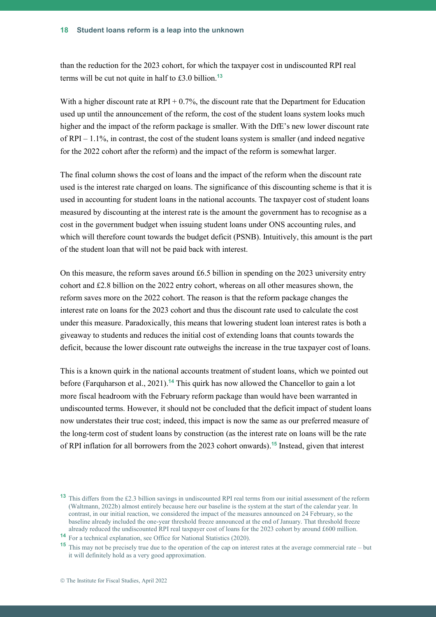than the reduction for the 2023 cohort, for which the taxpayer cost in undiscounted RPI real terms will be cut not quite in half to £3.0 billion.**<sup>13</sup>**

With a higher discount rate at  $RPI + 0.7\%$ , the discount rate that the Department for Education used up until the announcement of the reform, the cost of the student loans system looks much higher and the impact of the reform package is smaller. With the DfE's new lower discount rate of RPI – 1.1%, in contrast, the cost of the student loans system is smaller (and indeed negative for the 2022 cohort after the reform) and the impact of the reform is somewhat larger.

The final column shows the cost of loans and the impact of the reform when the discount rate used is the interest rate charged on loans. The significance of this discounting scheme is that it is used in accounting for student loans in the national accounts. The taxpayer cost of student loans measured by discounting at the interest rate is the amount the government has to recognise as a cost in the government budget when issuing student loans under ONS accounting rules, and which will therefore count towards the budget deficit (PSNB). Intuitively, this amount is the part of the student loan that will not be paid back with interest.

On this measure, the reform saves around  $£6.5$  billion in spending on the 2023 university entry cohort and £2.8 billion on the 2022 entry cohort, whereas on all other measures shown, the reform saves more on the 2022 cohort. The reason is that the reform package changes the interest rate on loans for the 2023 cohort and thus the discount rate used to calculate the cost under this measure. Paradoxically, this means that lowering student loan interest rates is both a giveaway to students and reduces the initial cost of extending loans that counts towards the deficit, because the lower discount rate outweighs the increase in the true taxpayer cost of loans.

This is a known quirk in the national accounts treatment of student loans, which we pointed out before (Farquharson et al., 2021). **<sup>14</sup>** This quirk has now allowed the Chancellor to gain a lot more fiscal headroom with the February reform package than would have been warranted in undiscounted terms. However, it should not be concluded that the deficit impact of student loans now understates their true cost; indeed, this impact is now the same as our preferred measure of the long-term cost of student loans by construction (as the interest rate on loans will be the rate of RPI inflation for all borrowers from the 2023 cohort onwards). **<sup>15</sup>** Instead, given that interest

**<sup>13</sup>** This differs from the £2.3 billion savings in undiscounted RPI real terms from our initial assessment of the reform (Waltmann, 2022b) almost entirely because here our baseline is the system at the start of the calendar year. In contrast, in our initial reaction, we considered the impact of the measures announced on 24 February, so the baseline already included the one-year threshold freeze announced at the end of January. That threshold freeze already reduced the undiscounted RPI real taxpayer cost of loans for the 2023 cohort by around £600 million.

**<sup>14</sup>** For a technical explanation, see Office for National Statistics (2020).

**<sup>15</sup>** This may not be precisely true due to the operation of the cap on interest rates at the average commercial rate – but it will definitely hold as a very good approximation.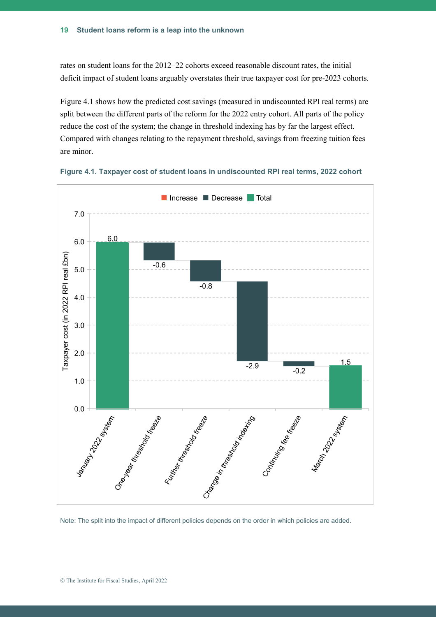rates on student loans for the 2012–22 cohorts exceed reasonable discount rates, the initial deficit impact of student loans arguably overstates their true taxpayer cost for pre-2023 cohorts.

Figure 4.1 shows how the predicted cost savings (measured in undiscounted RPI real terms) are split between the different parts of the reform for the 2022 entry cohort. All parts of the policy reduce the cost of the system; the change in threshold indexing has by far the largest effect. Compared with changes relating to the repayment threshold, savings from freezing tuition fees are minor.





Note: The split into the impact of different policies depends on the order in which policies are added.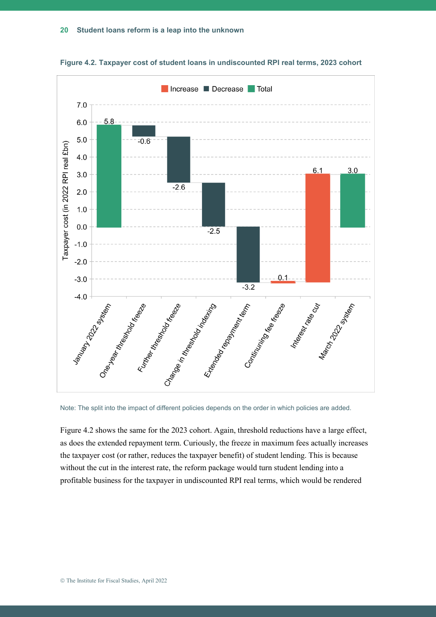



Figure 4.2 shows the same for the 2023 cohort. Again, threshold reductions have a large effect, as does the extended repayment term. Curiously, the freeze in maximum fees actually increases the taxpayer cost (or rather, reduces the taxpayer benefit) of student lending. This is because without the cut in the interest rate, the reform package would turn student lending into a profitable business for the taxpayer in undiscounted RPI real terms, which would be rendered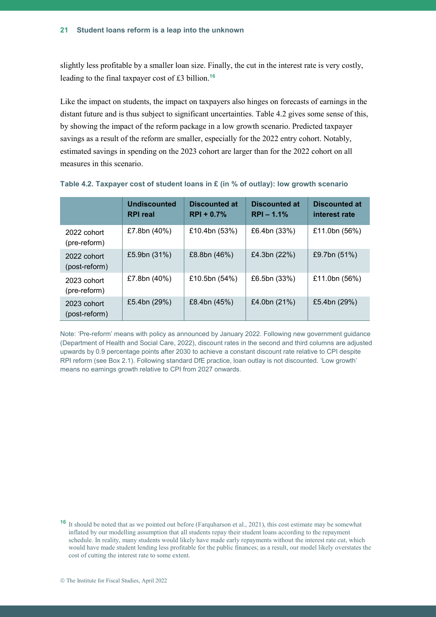slightly less profitable by a smaller loan size. Finally, the cut in the interest rate is very costly, leading to the final taxpayer cost of £3 billion.**<sup>16</sup>**

Like the impact on students, the impact on taxpayers also hinges on forecasts of earnings in the distant future and is thus subject to significant uncertainties. Table 4.2 gives some sense of this, by showing the impact of the reform package in a low growth scenario. Predicted taxpayer savings as a result of the reform are smaller, especially for the 2022 entry cohort. Notably, estimated savings in spending on the 2023 cohort are larger than for the 2022 cohort on all measures in this scenario.

|                              | <b>Undiscounted</b><br><b>RPI</b> real | <b>Discounted at</b><br>$RPI + 0.7%$ | <b>Discounted at</b><br>$RPI - 1.1%$ | <b>Discounted at</b><br>interest rate |
|------------------------------|----------------------------------------|--------------------------------------|--------------------------------------|---------------------------------------|
| 2022 cohort<br>(pre-reform)  | £7.8bn (40%)                           | £10.4bn (53%)                        | £6.4bn (33%)                         | £11.0bn (56%)                         |
| 2022 cohort<br>(post-reform) | £5.9bn (31%)                           | £8.8bn (46%)                         | £4.3bn (22%)                         | £9.7bn (51%)                          |
| 2023 cohort<br>(pre-reform)  | £7.8bn (40%)                           | £10.5bn (54%)                        | £6.5bn (33%)                         | £11.0bn (56%)                         |
| 2023 cohort<br>(post-reform) | £5.4bn (29%)                           | £8.4bn (45%)                         | £4.0bn (21%)                         | £5.4bn (29%)                          |

#### **Table 4.2. Taxpayer cost of student loans in £ (in % of outlay): low growth scenario**

Note: 'Pre-reform' means with policy as announced by January 2022. Following new government guidance (Department of Health and Social Care, 2022), discount rates in the second and third columns are adjusted upwards by 0.9 percentage points after 2030 to achieve a constant discount rate relative to CPI despite RPI reform (see Box 2.1). Following standard DfE practice, loan outlay is not discounted. 'Low growth' means no earnings growth relative to CPI from 2027 onwards.

**<sup>16</sup>** It should be noted that as we pointed out before (Farquharson et al., 2021), this cost estimate may be somewhat inflated by our modelling assumption that all students repay their student loans according to the repayment schedule. In reality, many students would likely have made early repayments without the interest rate cut, which would have made student lending less profitable for the public finances; as a result, our model likely overstates the cost of cutting the interest rate to some extent.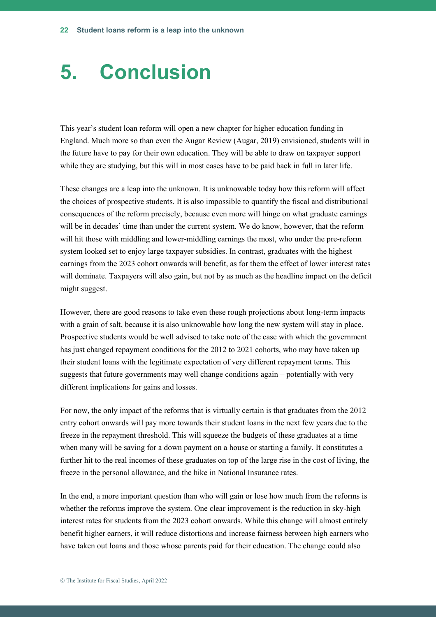# **5. Conclusion**

This year's student loan reform will open a new chapter for higher education funding in England. Much more so than even the Augar Review (Augar, 2019) envisioned, students will in the future have to pay for their own education. They will be able to draw on taxpayer support while they are studying, but this will in most cases have to be paid back in full in later life.

These changes are a leap into the unknown. It is unknowable today how this reform will affect the choices of prospective students. It is also impossible to quantify the fiscal and distributional consequences of the reform precisely, because even more will hinge on what graduate earnings will be in decades' time than under the current system. We do know, however, that the reform will hit those with middling and lower-middling earnings the most, who under the pre-reform system looked set to enjoy large taxpayer subsidies. In contrast, graduates with the highest earnings from the 2023 cohort onwards will benefit, as for them the effect of lower interest rates will dominate. Taxpayers will also gain, but not by as much as the headline impact on the deficit might suggest.

However, there are good reasons to take even these rough projections about long-term impacts with a grain of salt, because it is also unknowable how long the new system will stay in place. Prospective students would be well advised to take note of the ease with which the government has just changed repayment conditions for the 2012 to 2021 cohorts, who may have taken up their student loans with the legitimate expectation of very different repayment terms. This suggests that future governments may well change conditions again – potentially with very different implications for gains and losses.

For now, the only impact of the reforms that is virtually certain is that graduates from the 2012 entry cohort onwards will pay more towards their student loans in the next few years due to the freeze in the repayment threshold. This will squeeze the budgets of these graduates at a time when many will be saving for a down payment on a house or starting a family. It constitutes a further hit to the real incomes of these graduates on top of the large rise in the cost of living, the freeze in the personal allowance, and the hike in National Insurance rates.

In the end, a more important question than who will gain or lose how much from the reforms is whether the reforms improve the system. One clear improvement is the reduction in sky-high interest rates for students from the 2023 cohort onwards. While this change will almost entirely benefit higher earners, it will reduce distortions and increase fairness between high earners who have taken out loans and those whose parents paid for their education. The change could also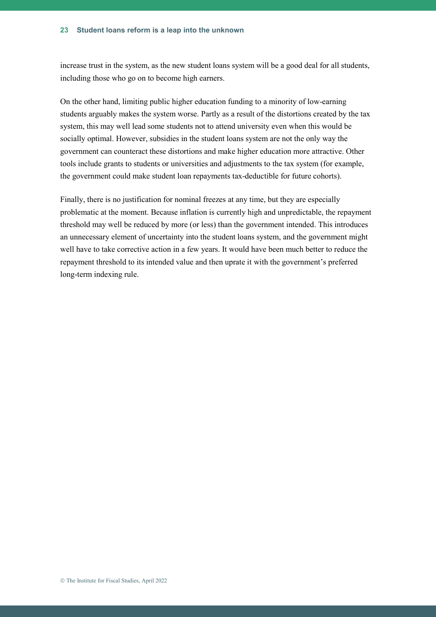increase trust in the system, as the new student loans system will be a good deal for all students, including those who go on to become high earners.

On the other hand, limiting public higher education funding to a minority of low-earning students arguably makes the system worse. Partly as a result of the distortions created by the tax system, this may well lead some students not to attend university even when this would be socially optimal. However, subsidies in the student loans system are not the only way the government can counteract these distortions and make higher education more attractive. Other tools include grants to students or universities and adjustments to the tax system (for example, the government could make student loan repayments tax-deductible for future cohorts).

Finally, there is no justification for nominal freezes at any time, but they are especially problematic at the moment. Because inflation is currently high and unpredictable, the repayment threshold may well be reduced by more (or less) than the government intended. This introduces an unnecessary element of uncertainty into the student loans system, and the government might well have to take corrective action in a few years. It would have been much better to reduce the repayment threshold to its intended value and then uprate it with the government's preferred long-term indexing rule.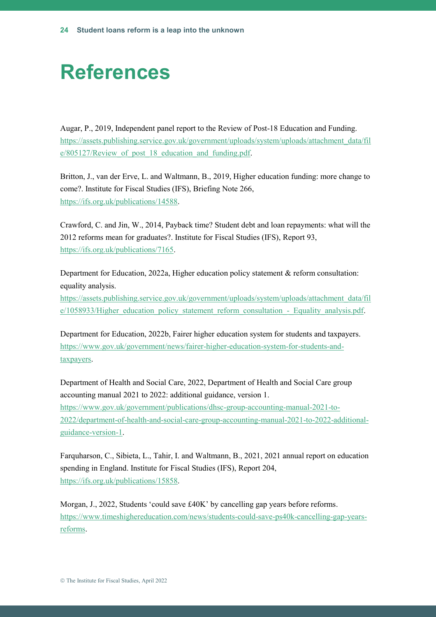# **References**

Augar, P., 2019, Independent panel report to the Review of Post-18 Education and Funding. [https://assets.publishing.service.gov.uk/government/uploads/system/uploads/attachment\\_data/fil](https://assets.publishing.service.gov.uk/government/uploads/system/uploads/attachment_data/file/805127/Review_of_post_18_education_and_funding.pdf) e/805127/Review of post 18 education and funding.pdf.

Britton, J., van der Erve, L. and Waltmann, B., 2019, Higher education funding: more change to come?. Institute for Fiscal Studies (IFS), Briefing Note 266, [https://ifs.org.uk/publications/14588.](https://ifs.org.uk/publications/14588)

Crawford, C. and Jin, W., 2014, Payback time? Student debt and loan repayments: what will the 2012 reforms mean for graduates?. Institute for Fiscal Studies (IFS), Report 93, [https://ifs.org.uk/publications/7165.](https://ifs.org.uk/publications/7165)

Department for Education, 2022a, Higher education policy statement & reform consultation: equality analysis.

[https://assets.publishing.service.gov.uk/government/uploads/system/uploads/attachment\\_data/fil](https://assets.publishing.service.gov.uk/government/uploads/system/uploads/attachment_data/file/1058933/Higher_education_policy_statement_reform_consultation_-_Equality_analysis.pdf) [e/1058933/Higher\\_education\\_policy\\_statement\\_reform\\_consultation\\_-\\_Equality\\_analysis.pdf.](https://assets.publishing.service.gov.uk/government/uploads/system/uploads/attachment_data/file/1058933/Higher_education_policy_statement_reform_consultation_-_Equality_analysis.pdf)

Department for Education, 2022b, Fairer higher education system for students and taxpayers. [https://www.gov.uk/government/news/fairer-higher-education-system-for-students-and](https://www.gov.uk/government/news/fairer-higher-education-system-for-students-and-taxpayers)[taxpayers.](https://www.gov.uk/government/news/fairer-higher-education-system-for-students-and-taxpayers)

Department of Health and Social Care, 2022, Department of Health and Social Care group accounting manual 2021 to 2022: additional guidance, version 1. [https://www.gov.uk/government/publications/dhsc-group-accounting-manual-2021-to-](https://www.gov.uk/government/publications/dhsc-group-accounting-manual-2021-to-2022/department-of-health-and-social-care-group-accounting-manual-2021-to-2022-additional-guidance-version-1)[2022/department-of-health-and-social-care-group-accounting-manual-2021-to-2022-additional](https://www.gov.uk/government/publications/dhsc-group-accounting-manual-2021-to-2022/department-of-health-and-social-care-group-accounting-manual-2021-to-2022-additional-guidance-version-1)[guidance-version-1.](https://www.gov.uk/government/publications/dhsc-group-accounting-manual-2021-to-2022/department-of-health-and-social-care-group-accounting-manual-2021-to-2022-additional-guidance-version-1)

Farquharson, C., Sibieta, L., Tahir, I. and Waltmann, B., 2021, 2021 annual report on education spending in England. Institute for Fiscal Studies (IFS), Report 204, [https://ifs.org.uk/publications/15858.](https://ifs.org.uk/publications/15858)

Morgan, J., 2022, Students 'could save £40K' by cancelling gap years before reforms. [https://www.timeshighereducation.com/news/students-could-save-ps40k-cancelling-gap-years](https://www.timeshighereducation.com/news/students-could-save-ps40k-cancelling-gap-years-reforms)[reforms.](https://www.timeshighereducation.com/news/students-could-save-ps40k-cancelling-gap-years-reforms)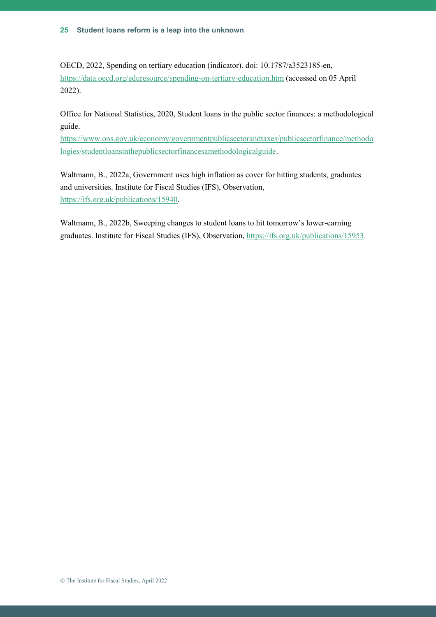OECD, 2022, Spending on tertiary education (indicator). doi: 10.1787/a3523185-en, <https://data.oecd.org/eduresource/spending-on-tertiary-education.htm> (accessed on 05 April 2022).

Office for National Statistics, 2020, Student loans in the public sector finances: a methodological guide.

[https://www.ons.gov.uk/economy/governmentpublicsectorandtaxes/publicsectorfinance/methodo](https://www.ons.gov.uk/economy/governmentpublicsectorandtaxes/publicsectorfinance/methodologies/studentloansinthepublicsectorfinancesamethodologicalguide) [logies/studentloansinthepublicsectorfinancesamethodologicalguide.](https://www.ons.gov.uk/economy/governmentpublicsectorandtaxes/publicsectorfinance/methodologies/studentloansinthepublicsectorfinancesamethodologicalguide)

Waltmann, B., 2022a, Government uses high inflation as cover for hitting students, graduates and universities. Institute for Fiscal Studies (IFS), Observation, [https://ifs.org.uk/publications/15940.](https://ifs.org.uk/publications/15940)

Waltmann, B., 2022b, Sweeping changes to student loans to hit tomorrow's lower-earning graduates. Institute for Fiscal Studies (IFS), Observation, [https://ifs.org.uk/publications/15953.](https://ifs.org.uk/publications/15953)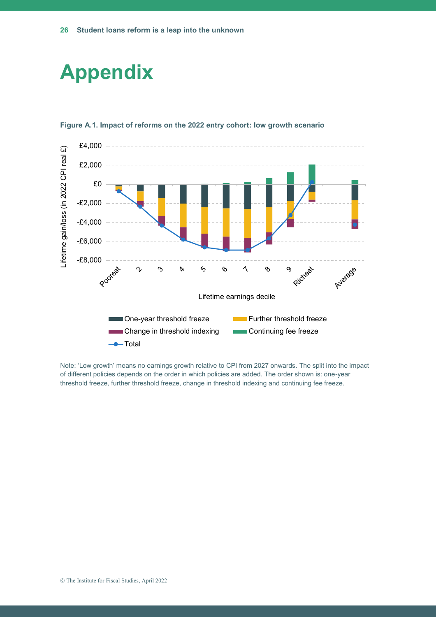### **Appendix**



#### **Figure A.1. Impact of reforms on the 2022 entry cohort: low growth scenario**

Note: 'Low growth' means no earnings growth relative to CPI from 2027 onwards. The split into the impact of different policies depends on the order in which policies are added. The order shown is: one-year threshold freeze, further threshold freeze, change in threshold indexing and continuing fee freeze.